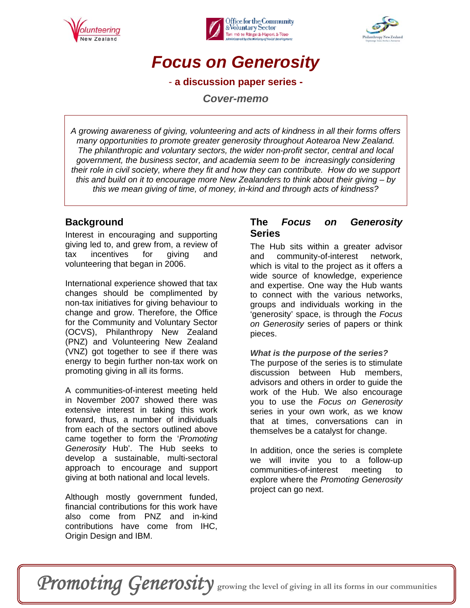





## *Focus on Generosity*

- **a discussion paper series -** 

*Cover-memo* 

*A growing awareness of giving, volunteering and acts of kindness in all their forms offers many opportunities to promote greater generosity throughout Aotearoa New Zealand. The philanthropic and voluntary sectors, the wider non-profit sector, central and local government, the business sector, and academia seem to be increasingly considering their role in civil society, where they fit and how they can contribute. How do we support this and build on it to encourage more New Zealanders to think about their giving – by this we mean giving of time, of money, in-kind and through acts of kindness?* 

## **Background**

Interest in encouraging and supporting giving led to, and grew from, a review of tax incentives for giving and volunteering that began in 2006.

International experience showed that tax changes should be complimented by non-tax initiatives for giving behaviour to change and grow. Therefore, the Office for the Community and Voluntary Sector (OCVS), Philanthropy New Zealand (PNZ) and Volunteering New Zealand (VNZ) got together to see if there was energy to begin further non-tax work on promoting giving in all its forms.

A communities-of-interest meeting held in November 2007 showed there was extensive interest in taking this work forward, thus, a number of individuals from each of the sectors outlined above came together to form the '*Promoting Generosity* Hub'. The Hub seeks to develop a sustainable, multi-sectoral approach to encourage and support giving at both national and local levels.

Although mostly government funded, financial contributions for this work have also come from PNZ and in-kind contributions have come from IHC, Origin Design and IBM.

## **The** *Focus on Generosity*  **Series**

The Hub sits within a greater advisor and community-of-interest network, which is vital to the project as it offers a wide source of knowledge, experience and expertise. One way the Hub wants to connect with the various networks, groups and individuals working in the 'generosity' space, is through the *Focus on Generosity* series of papers or think pieces.

### *What is the purpose of the series?*

The purpose of the series is to stimulate discussion between Hub members. advisors and others in order to guide the work of the Hub. We also encourage you to use the *Focus on Generosity* series in your own work, as we know that at times, conversations can in themselves be a catalyst for change.

In addition, once the series is complete we will invite you to a follow-up communities-of-interest meeting to explore where the *Promoting Generosity*  project can go next.

# Promoting Generosity growing the level of giving in all its forms in our communities